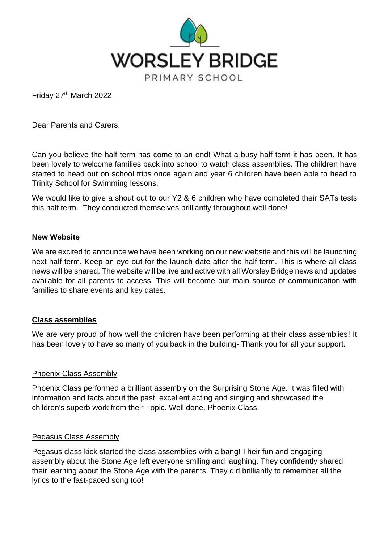

Friday 27th March 2022

Dear Parents and Carers,

Can you believe the half term has come to an end! What a busy half term it has been. It has been lovely to welcome families back into school to watch class assemblies. The children have started to head out on school trips once again and year 6 children have been able to head to Trinity School for Swimming lessons.

We would like to give a shout out to our Y2 & 6 children who have completed their SATs tests this half term. They conducted themselves brilliantly throughout well done!

## **New Website**

We are excited to announce we have been working on our new website and this will be launching next half term. Keep an eye out for the launch date after the half term. This is where all class news will be shared. The website will be live and active with all Worsley Bridge news and updates available for all parents to access. This will become our main source of communication with families to share events and key dates.

## **Class assemblies**

We are very proud of how well the children have been performing at their class assemblies! It has been lovely to have so many of you back in the building- Thank you for all your support.

## Phoenix Class Assembly

Phoenix Class performed a brilliant assembly on the Surprising Stone Age. It was filled with information and facts about the past, excellent acting and singing and showcased the children's superb work from their Topic. Well done, Phoenix Class!

## Pegasus Class Assembly

Pegasus class kick started the class assemblies with a bang! Their fun and engaging assembly about the Stone Age left everyone smiling and laughing. They confidently shared their learning about the Stone Age with the parents. They did brilliantly to remember all the lyrics to the fast-paced song too!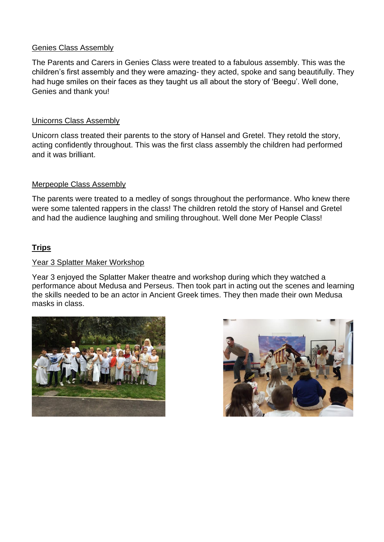## Genies Class Assembly

The Parents and Carers in Genies Class were treated to a fabulous assembly. This was the children's first assembly and they were amazing- they acted, spoke and sang beautifully. They had huge smiles on their faces as they taught us all about the story of 'Beegu'. Well done, Genies and thank you!

## Unicorns Class Assembly

Unicorn class treated their parents to the story of Hansel and Gretel. They retold the story, acting confidently throughout. This was the first class assembly the children had performed and it was brilliant.

## Merpeople Class Assembly

The parents were treated to a medley of songs throughout the performance. Who knew there were some talented rappers in the class! The children retold the story of Hansel and Gretel and had the audience laughing and smiling throughout. Well done Mer People Class!

## **Trips**

## Year 3 Splatter Maker Workshop

Year 3 enjoyed the Splatter Maker theatre and workshop during which they watched a performance about Medusa and Perseus. Then took part in acting out the scenes and learning the skills needed to be an actor in Ancient Greek times. They then made their own Medusa masks in class.



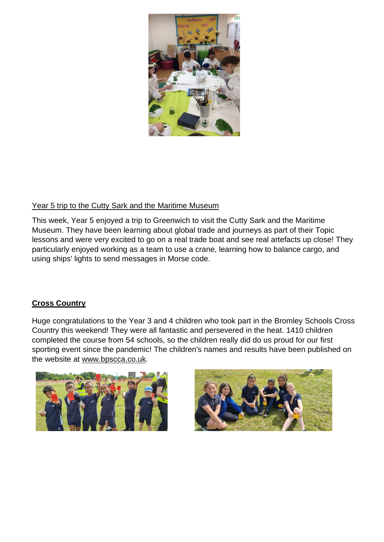

# Year 5 trip to the Cutty Sark and the Maritime Museum

This week, Year 5 enjoyed a trip to Greenwich to visit the Cutty Sark and the Maritime Museum. They have been learning about global trade and journeys as part of their Topic lessons and were very excited to go on a real trade boat and see real artefacts up close! They particularly enjoyed working as a team to use a crane, learning how to balance cargo, and using ships' lights to send messages in Morse code.

# **Cross Country**

Huge congratulations to the Year 3 and 4 children who took part in the Bromley Schools Cross Country this weekend! They were all fantastic and persevered in the heat. 1410 children completed the course from 54 schools, so the children really did do us proud for our first sporting event since the pandemic! The children's names and results have been published on the website at [www.bpscca.co.uk](http://www.bpscca.co.uk/).